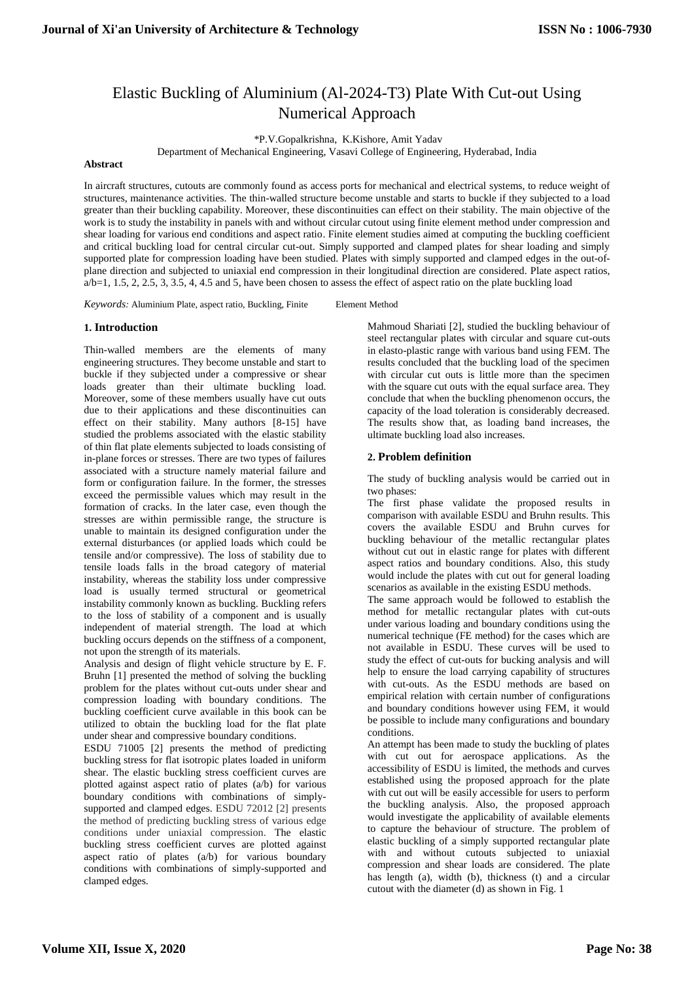# Elastic Buckling of Aluminium (Al-2024-T3) Plate With Cut-out Using Numerical Approach

\*P.V.Gopalkrishna, K.Kishore, Amit Yadav

Department of Mechanical Engineering, Vasavi College of Engineering, Hyderabad, India

#### **Abstract**

In aircraft structures, cutouts are commonly found as access ports for mechanical and electrical systems, to reduce weight of structures, maintenance activities. The thin-walled structure become unstable and starts to buckle if they subjected to a load greater than their buckling capability. Moreover, these discontinuities can effect on their stability. The main objective of the work is to study the instability in panels with and without circular cutout using finite element method under compression and shear loading for various end conditions and aspect ratio. Finite element studies aimed at computing the buckling coefficient and critical buckling load for central circular cut-out. Simply supported and clamped plates for shear loading and simply supported plate for compression loading have been studied. Plates with simply supported and clamped edges in the out-ofplane direction and subjected to uniaxial end compression in their longitudinal direction are considered. Plate aspect ratios,  $a/b=1$ , 1.5, 2, 2.5, 3, 3.5, 4, 4.5 and 5, have been chosen to assess the effect of aspect ratio on the plate buckling load

*Keywords*: Aluminium Plate, aspect ratio, Buckling, Finite Element Method

# **1. Introduction**

Thin-walled members are the elements of many engineering structures. They become unstable and start to buckle if they subjected under a compressive or shear loads greater than their ultimate buckling load. Moreover, some of these members usually have cut outs due to their applications and these discontinuities can effect on their stability. Many authors [8-15] have studied the problems associated with the elastic stability of thin flat plate elements subjected to loads consisting of in-plane forces or stresses. There are two types of failures associated with a structure namely material failure and form or configuration failure. In the former, the stresses exceed the permissible values which may result in the formation of cracks. In the later case, even though the stresses are within permissible range, the structure is unable to maintain its designed configuration under the external disturbances (or applied loads which could be tensile and/or compressive). The loss of stability due to tensile loads falls in the broad category of material instability, whereas the stability loss under compressive load is usually termed structural or geometrical instability commonly known as buckling. Buckling refers to the loss of stability of a component and is usually independent of material strength. The load at which buckling occurs depends on the stiffness of a component, not upon the strength of its materials.

Analysis and design of flight vehicle structure by E. F. Bruhn [1] presented the method of solving the buckling problem for the plates without cut-outs under shear and compression loading with boundary conditions. The buckling coefficient curve available in this book can be utilized to obtain the buckling load for the flat plate under shear and compressive boundary conditions.

ESDU 71005 [2] presents the method of predicting buckling stress for flat isotropic plates loaded in uniform shear. The elastic buckling stress coefficient curves are plotted against aspect ratio of plates (a/b) for various boundary conditions with combinations of simplysupported and clamped edges. ESDU 72012 [2] presents the method of predicting buckling stress of various edge conditions under uniaxial compression. The elastic buckling stress coefficient curves are plotted against aspect ratio of plates (a/b) for various boundary conditions with combinations of simply-supported and clamped edges.

Mahmoud Shariati [2], studied the buckling behaviour of steel rectangular plates with circular and square cut-outs in elasto-plastic range with various band using FEM. The results concluded that the buckling load of the specimen with circular cut outs is little more than the specimen with the square cut outs with the equal surface area. They conclude that when the buckling phenomenon occurs, the capacity of the load toleration is considerably decreased. The results show that, as loading band increases, the ultimate buckling load also increases.

# **2. Problem definition**

The study of buckling analysis would be carried out in two phases:

The first phase validate the proposed results in comparison with available ESDU and Bruhn results. This covers the available ESDU and Bruhn curves for buckling behaviour of the metallic rectangular plates without cut out in elastic range for plates with different aspect ratios and boundary conditions. Also, this study would include the plates with cut out for general loading scenarios as available in the existing ESDU methods.

The same approach would be followed to establish the method for metallic rectangular plates with cut-outs under various loading and boundary conditions using the numerical technique (FE method) for the cases which are not available in ESDU. These curves will be used to study the effect of cut-outs for bucking analysis and will help to ensure the load carrying capability of structures with cut-outs. As the ESDU methods are based on empirical relation with certain number of configurations and boundary conditions however using FEM, it would be possible to include many configurations and boundary conditions.

An attempt has been made to study the buckling of plates with cut out for aerospace applications. As the accessibility of ESDU is limited, the methods and curves established using the proposed approach for the plate with cut out will be easily accessible for users to perform the buckling analysis. Also, the proposed approach would investigate the applicability of available elements to capture the behaviour of structure. The problem of elastic buckling of a simply supported rectangular plate with and without cutouts subjected to uniaxial compression and shear loads are considered. The plate has length (a), width (b), thickness (t) and a circular cutout with the diameter (d) as shown in Fig. 1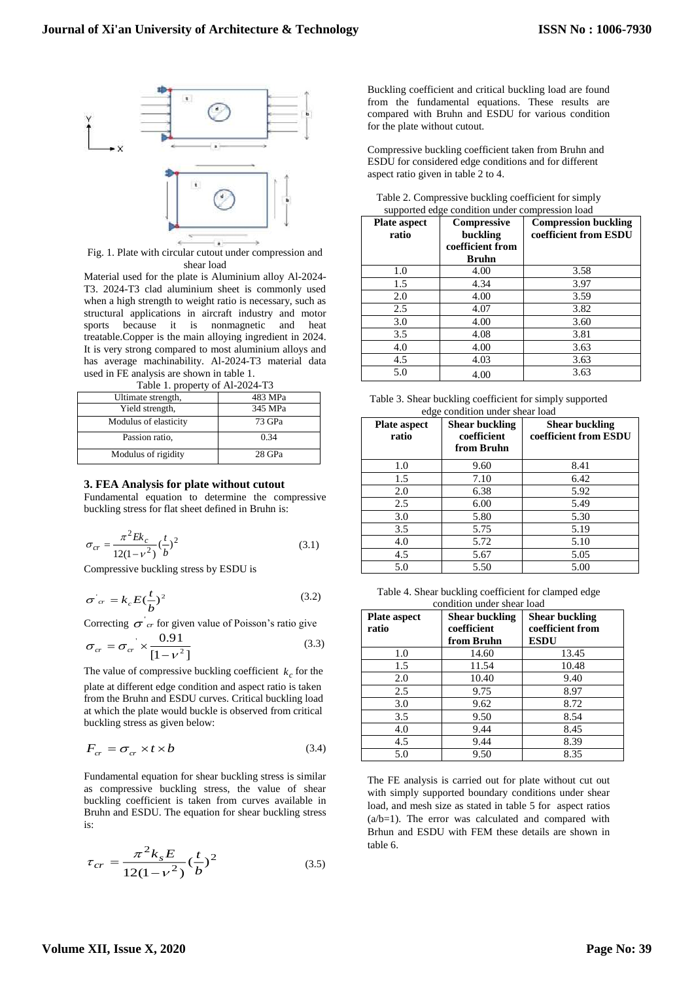

Fig. 1. Plate with circular cutout under compression and shear load

Material used for the plate is Aluminium alloy Al-2024- T3. 2024-T3 clad aluminium sheet is commonly used when a high strength to weight ratio is necessary, such as structural applications in aircraft industry and motor sports because it is nonmagnetic and heat treatable.Copper is the main alloying ingredient in 2024. It is very strong compared to most aluminium alloys and has average machinability. Al-2024-T3 material data used in FE analysis are shown in table 1.

| Table 1. property of Al-2024-T3 |         |  |
|---------------------------------|---------|--|
| Ultimate strength,              | 483 MPa |  |
| Yield strength,                 | 345 MPa |  |
| Modulus of elasticity           | 73 GPa  |  |
| Passion ratio,                  | 0.34    |  |
| Modulus of rigidity             | 28 GPa  |  |

#### **3. FEA Analysis for plate without cutout**

Fundamental equation to determine the compressive buckling stress for flat sheet defined in Bruhn is:

$$
\sigma_{cr} = \frac{\pi^2 E k_c}{12(1 - v^2)} (\frac{t}{b})^2
$$
\n(3.1)

Compressive buckling stress by ESDU is

$$
\sigma_{cr} = k_c E \left(\frac{t}{b}\right)^2 \tag{3.2}
$$

Correcting  $\sigma$ <sup>'</sup> *cr* for given value of Poisson's ratio give

$$
\sigma_{cr} = \sigma_{cr} \times \frac{0.91}{[1 - v^2]}
$$
\n(3.3)

The value of compressive buckling coefficient  $k_c$  for the plate at different edge condition and aspect ratio is taken from the Bruhn and ESDU curves. Critical buckling load at which the plate would buckle is observed from critical buckling stress as given below:

$$
F_{cr} = \sigma_{cr} \times t \times b \tag{3.4}
$$

Fundamental equation for shear buckling stress is similar as compressive buckling stress, the value of shear buckling coefficient is taken from curves available in Bruhn and ESDU. The equation for shear buckling stress is:

$$
\tau_{cr} = \frac{\pi^2 k_s E}{12(1 - v^2)} \left(\frac{t}{b}\right)^2 \tag{3.5}
$$

Buckling coefficient and critical buckling load are found from the fundamental equations. These results are compared with Bruhn and ESDU for various condition for the plate without cutout.

Compressive buckling coefficient taken from Bruhn and ESDU for considered edge conditions and for different aspect ratio given in table 2 to 4.

| <b>Plate aspect</b><br>ratio | <b>Compressive</b><br>buckling<br>coefficient from | <b>Compression buckling</b><br>coefficient from ESDU |
|------------------------------|----------------------------------------------------|------------------------------------------------------|
|                              | <b>Bruhn</b>                                       |                                                      |
| 1.0                          | 4.00                                               | 3.58                                                 |
| 1.5                          | 4.34                                               | 3.97                                                 |
| 2.0                          | 4.00                                               | 3.59                                                 |
| 2.5                          | 4.07                                               | 3.82                                                 |
| 3.0                          | 4.00                                               | 3.60                                                 |
| 3.5                          | 4.08                                               | 3.81                                                 |
| 4.0                          | 4.00                                               | 3.63                                                 |
| 4.5                          | 4.03                                               | 3.63                                                 |
| 5.0                          | 4.00                                               | 3.63                                                 |

| Table 2. Compressive buckling coefficient for simply |  |
|------------------------------------------------------|--|
| supported edge condition under compression load      |  |

| Table 3. Shear buckling coefficient for simply supported |  |
|----------------------------------------------------------|--|
| edge condition under shear load                          |  |

| <b>Plate aspect</b><br>ratio | <b>Shear buckling</b><br>coefficient<br>from Bruhn | <b>Shear buckling</b><br>coefficient from ESDU |
|------------------------------|----------------------------------------------------|------------------------------------------------|
| 1.0                          | 9.60                                               | 8.41                                           |
| 1.5                          | 7.10                                               | 6.42                                           |
| 2.0                          | 6.38                                               | 5.92                                           |
| 2.5                          | 6.00                                               | 5.49                                           |
| 3.0                          | 5.80                                               | 5.30                                           |
| 3.5                          | 5.75                                               | 5.19                                           |
| 4.0                          | 5.72                                               | 5.10                                           |
| 4.5                          | 5.67                                               | 5.05                                           |
| 5.0                          | 5.50                                               | 5.00                                           |

Table 4. Shear buckling coefficient for clamped edge condition under shear load

| <b>Plate aspect</b><br>ratio | <b>Shear buckling</b><br>coefficient<br>from Bruhn | <b>Shear buckling</b><br>coefficient from<br><b>ESDU</b> |
|------------------------------|----------------------------------------------------|----------------------------------------------------------|
| 1.0                          | 14.60                                              | 13.45                                                    |
| 1.5                          | 11.54                                              | 10.48                                                    |
| 2.0                          | 10.40                                              | 9.40                                                     |
| 2.5                          | 9.75                                               | 8.97                                                     |
| 3.0                          | 9.62                                               | 8.72                                                     |
| 3.5                          | 9.50                                               | 8.54                                                     |
| 4.0                          | 9.44                                               | 8.45                                                     |
| 4.5                          | 9.44                                               | 8.39                                                     |
| 5.0                          | 9.50                                               | 8.35                                                     |

The FE analysis is carried out for plate without cut out with simply supported boundary conditions under shear load, and mesh size as stated in table 5 for aspect ratios  $(a/b=1)$ . The error was calculated and compared with Brhun and ESDU with FEM these details are shown in table 6.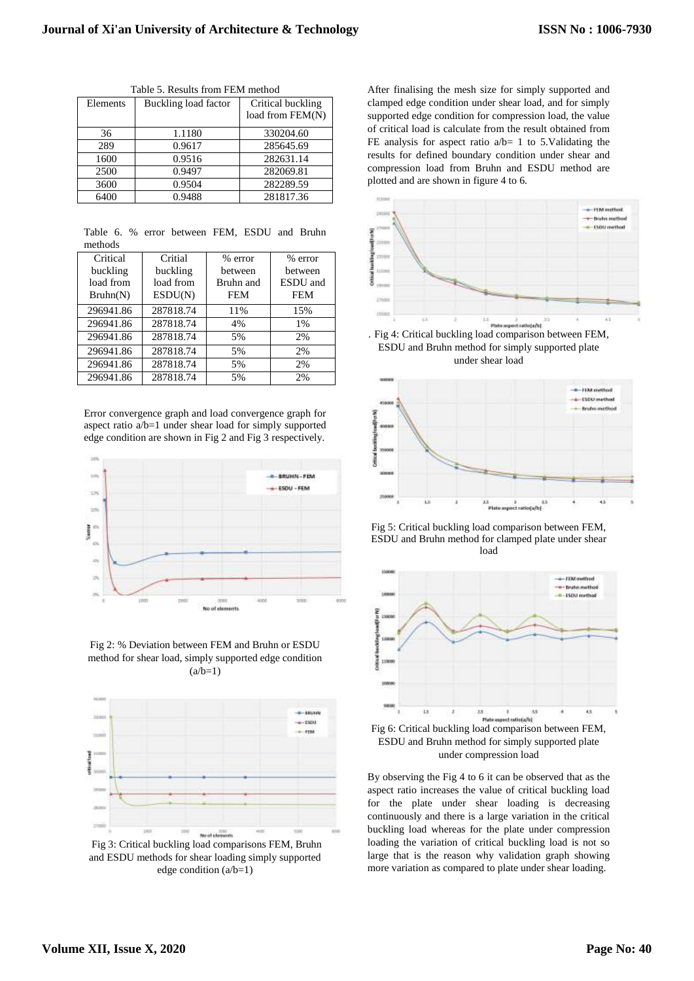| Elements | Buckling load factor | Critical buckling<br>load from FEM(N) |
|----------|----------------------|---------------------------------------|
| 36       | 1.1180               | 330204.60                             |
| 289      | 0.9617               | 285645.69                             |
| 1600     | 0.9516               | 282631.14                             |
| 2500     | 0.9497               | 282069.81                             |
| 3600     | 0.9504               | 282289.59                             |
| 6400     | 0.9488               | 281817.36                             |

Table 5. Results from FEM method

|         |  | Table 6. % error between FEM, ESDU and Bruhn |  |  |
|---------|--|----------------------------------------------|--|--|
| methods |  |                                              |  |  |

| Critical  | Critial   | % error    | % error    |
|-----------|-----------|------------|------------|
| buckling  | buckling  | between    | between    |
| load from | load from | Bruhn and  | ESDU and   |
| Bruhn(N)  | ESDU(N)   | <b>FEM</b> | <b>FEM</b> |
| 296941.86 | 287818.74 | 11%        | 15%        |
| 296941.86 | 287818.74 | 4%         | 1%         |
| 296941.86 | 287818.74 | 5%         | 2%         |
| 296941.86 | 287818.74 | 5%         | 2%         |
| 296941.86 | 287818.74 | 5%         | 2%         |
| 296941.86 | 287818.74 | 5%         | 2%         |

Error convergence graph and load convergence graph for aspect ratio a/b=1 under shear load for simply supported edge condition are shown in Fig 2 and Fig 3 respectively.



Fig 2: % Deviation between FEM and Bruhn or ESDU method for shear load, simply supported edge condition  $(a/b=1)$ 



Fig 3: Critical buckling load comparisons FEM, Bruhn and ESDU methods for shear loading simply supported edge condition (a/b=1)

After finalising the mesh size for simply supported and clamped edge condition under shear load, and for simply supported edge condition for compression load, the value of critical load is calculate from the result obtained from FE analysis for aspect ratio  $a/b=1$  to 5.Validating the results for defined boundary condition under shear and compression load from Bruhn and ESDU method are plotted and are shown in figure 4 to 6.



ESDU and Bruhn method for simply supported plate under shear load



Fig 5: Critical buckling load comparison between FEM, ESDU and Bruhn method for clamped plate under shear load



Fig 6: Critical buckling load comparison between FEM, ESDU and Bruhn method for simply supported plate under compression load

By observing the Fig 4 to 6 it can be observed that as the aspect ratio increases the value of critical buckling load for the plate under shear loading is decreasing continuously and there is a large variation in the critical buckling load whereas for the plate under compression loading the variation of critical buckling load is not so large that is the reason why validation graph showing more variation as compared to plate under shear loading.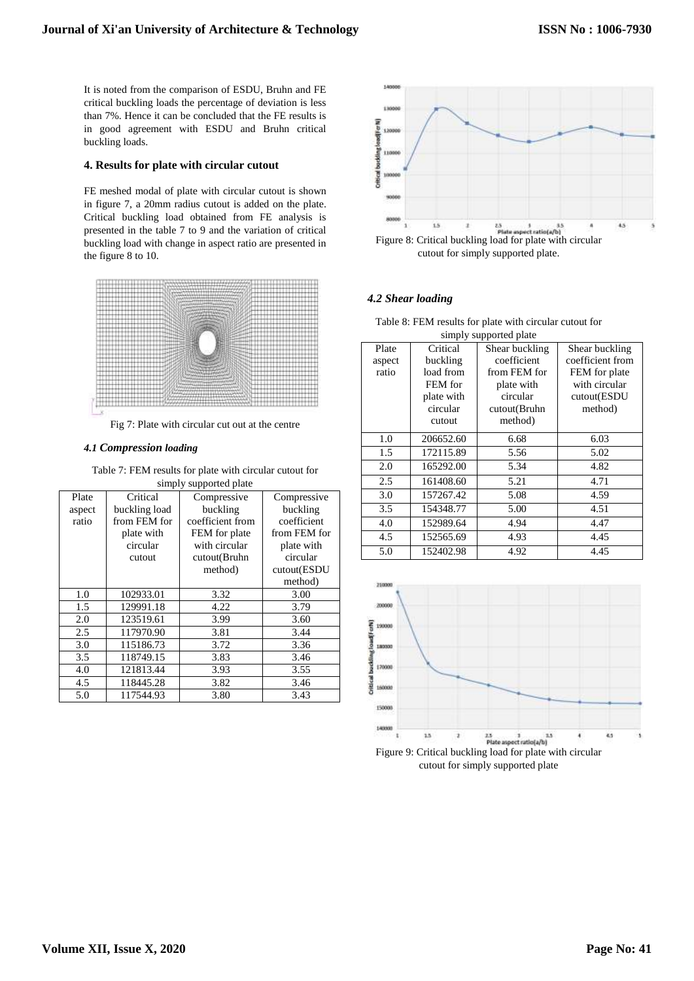It is noted from the comparison of ESDU, Bruhn and FE critical buckling loads the percentage of deviation is less than 7%. Hence it can be concluded that the FE results is in good agreement with ESDU and Bruhn critical buckling loads.

# **4. Results for plate with circular cutout**

FE meshed modal of plate with circular cutout is shown in figure 7, a 20mm radius cutout is added on the plate. Critical buckling load obtained from FE analysis is presented in the table 7 to 9 and the variation of critical buckling load with change in aspect ratio are presented in the figure 8 to 10.



Fig 7: Plate with circular cut out at the centre

# *4.1 Compression loading*

Table 7: FEM results for plate with circular cutout for simply supported plate

|        | $\frac{1}{2}$<br>puppose pane |                  |              |  |  |  |
|--------|-------------------------------|------------------|--------------|--|--|--|
| Plate  | Critical                      | Compressive      | Compressive  |  |  |  |
| aspect | buckling load                 | buckling         | buckling     |  |  |  |
| ratio  | from FEM for                  | coefficient from | coefficient  |  |  |  |
|        | plate with                    | FEM for plate    | from FEM for |  |  |  |
|        | circular                      | with circular    | plate with   |  |  |  |
|        | cutout                        | cutout(Bruhn     | circular     |  |  |  |
|        |                               | method)          | cutout(ESDU  |  |  |  |
|        |                               |                  | method)      |  |  |  |
| 1.0    | 102933.01                     | 3.32             | 3.00         |  |  |  |
| 1.5    | 129991.18                     | 4.22             | 3.79         |  |  |  |
| 2.0    | 123519.61                     | 3.99             | 3.60         |  |  |  |
| 2.5    | 117970.90                     | 3.81             | 3.44         |  |  |  |
| 3.0    | 115186.73                     | 3.72             | 3.36         |  |  |  |
| 3.5    | 118749.15                     | 3.83             | 3.46         |  |  |  |
| 4.0    | 121813.44                     | 3.93             | 3.55         |  |  |  |
| 4.5    | 118445.28                     | 3.82             | 3.46         |  |  |  |
| 5.0    | 117544.93                     | 3.80             | 3.43         |  |  |  |

140000 13000 **Critical backling load(For N** 12000 11000 1000 900  $15$  $4.5$ Figure 8: Critical buckling load for plate with circular  $\mathbf{z}$ cutout for simply supported plate.

# *4.2 Shear loading*

| simply supported plate |            |                |                  |  |
|------------------------|------------|----------------|------------------|--|
| Plate                  | Critical   | Shear buckling | Shear buckling   |  |
| aspect                 | buckling   | coefficient    | coefficient from |  |
| ratio                  | load from  | from FEM for   | FEM for plate    |  |
|                        | FEM for    | plate with     | with circular    |  |
|                        | plate with | circular       | cutout(ESDU      |  |
|                        | circular   | cutout(Bruhn   | method)          |  |
|                        | cutout     | method)        |                  |  |
| 1.0                    | 206652.60  | 6.68           | 6.03             |  |
| 1.5                    | 172115.89  | 5.56           | 5.02             |  |
| 2.0                    | 165292.00  | 5.34           | 4.82             |  |
| 2.5                    | 161408.60  | 5.21           | 4.71             |  |
| 3.0                    | 157267.42  | 5.08           | 4.59             |  |
| 3.5                    | 154348.77  | 5.00           | 4.51             |  |
| 4.0                    | 152989.64  | 4.94           | 4.47             |  |
| 4.5                    | 152565.69  | 4.93           | 4.45             |  |
| 5.0                    | 152402.98  | 4.92           | 4.45             |  |



Table 8: FEM results for plate with circular cutout for simply supported plate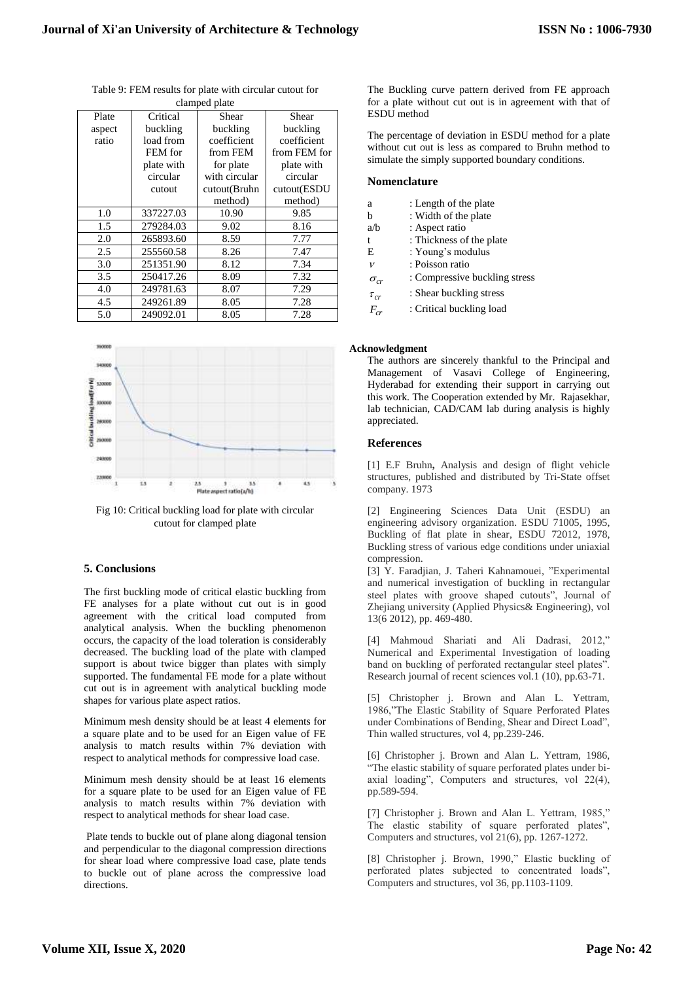| ciampeu piate |            |               |              |  |  |
|---------------|------------|---------------|--------------|--|--|
| Plate         | Critical   | Shear         | Shear        |  |  |
| aspect        | buckling   | buckling      | buckling     |  |  |
| ratio         | load from  | coefficient   | coefficient  |  |  |
|               | FEM for    | from FEM      | from FEM for |  |  |
|               | plate with | for plate     | plate with   |  |  |
|               | circular   | with circular | circular     |  |  |
|               | cutout     | cutout(Bruhn  | cutout(ESDU  |  |  |
|               |            | method)       | method)      |  |  |
| 1.0           | 337227.03  | 10.90         | 9.85         |  |  |
| 1.5           | 279284.03  | 9.02          | 8.16         |  |  |
| 2.0           | 265893.60  | 8.59          | 7.77         |  |  |
| 2.5           | 255560.58  | 8.26          | 7.47         |  |  |
| 3.0           | 251351.90  | 8.12          | 7.34         |  |  |
| 3.5           | 250417.26  | 8.09          | 7.32         |  |  |
| 4.0           | 249781.63  | 8.07          | 7.29         |  |  |
| 4.5           | 249261.89  | 8.05          | 7.28         |  |  |
| 5.0           | 249092.01  | 8.05          | 7.28         |  |  |

Table 9: FEM results for plate with circular cutout for clamped plate



Fig 10: Critical buckling load for plate with circular cutout for clamped plate

# **5. Conclusions**

The first buckling mode of critical elastic buckling from FE analyses for a plate without cut out is in good agreement with the critical load computed from analytical analysis. When the buckling phenomenon occurs, the capacity of the load toleration is considerably decreased. The buckling load of the plate with clamped support is about twice bigger than plates with simply supported. The fundamental FE mode for a plate without cut out is in agreement with analytical buckling mode shapes for various plate aspect ratios.

Minimum mesh density should be at least 4 elements for a square plate and to be used for an Eigen value of FE analysis to match results within 7% deviation with respect to analytical methods for compressive load case.

Minimum mesh density should be at least 16 elements for a square plate to be used for an Eigen value of FE analysis to match results within 7% deviation with respect to analytical methods for shear load case.

Plate tends to buckle out of plane along diagonal tension and perpendicular to the diagonal compression directions for shear load where compressive load case, plate tends to buckle out of plane across the compressive load directions.

The Buckling curve pattern derived from FE approach for a plate without cut out is in agreement with that of ESDU method

The percentage of deviation in ESDU method for a plate without cut out is less as compared to Bruhn method to simulate the simply supported boundary conditions.

#### **Nomenclature**

- a : Length of the plate
- b : Width of the plate
- a/b : Aspect ratio
- t : Thickness of the plate
- E : Young's modulus  $\overline{\nu}$ : Poisson ratio
- $\sigma_{cr}$ : Compressive buckling stress
- $\tau_{cr}$ : Shear buckling stress
- *Fcr* : Critical buckling load

#### **Acknowledgment**

The authors are sincerely thankful to the Principal and Management of Vasavi College of Engineering, Hyderabad for extending their support in carrying out this work. The Cooperation extended by Mr. Rajasekhar, lab technician, CAD/CAM lab during analysis is highly appreciated.

# **References**

[1] E.F Bruhn**,** Analysis and design of flight vehicle structures, published and distributed by Tri-State offset company. 1973

[2] Engineering Sciences Data Unit (ESDU) an engineering advisory organization. ESDU 71005, 1995, Buckling of flat plate in shear, ESDU 72012, 1978, Buckling stress of various edge conditions under uniaxial compression.

[3] Y. Faradjian, J. Taheri Kahnamouei, "Experimental and numerical investigation of buckling in rectangular steel plates with groove shaped cutouts", Journal of Zhejiang university (Applied Physics& Engineering), vol 13(6 2012), pp. 469-480.

[4] Mahmoud Shariati and Ali Dadrasi, 2012," Numerical and Experimental Investigation of loading band on buckling of perforated rectangular steel plates". Research journal of recent sciences vol.1 (10), pp.63-71.

[5] Christopher j. Brown and Alan L. Yettram, 1986,"The Elastic Stability of Square Perforated Plates under Combinations of Bending, Shear and Direct Load", Thin walled structures, vol 4, pp.239-246.

[6] Christopher j. Brown and Alan L. Yettram, 1986, "The elastic stability of square perforated plates under biaxial loading", Computers and structures, vol 22(4), pp.589-594.

[7] Christopher j. Brown and Alan L. Yettram, 1985," The elastic stability of square perforated plates", Computers and structures, vol 21(6), pp. 1267-1272.

[8] Christopher j. Brown, 1990," Elastic buckling of perforated plates subjected to concentrated loads", Computers and structures, vol 36, pp.1103-1109.